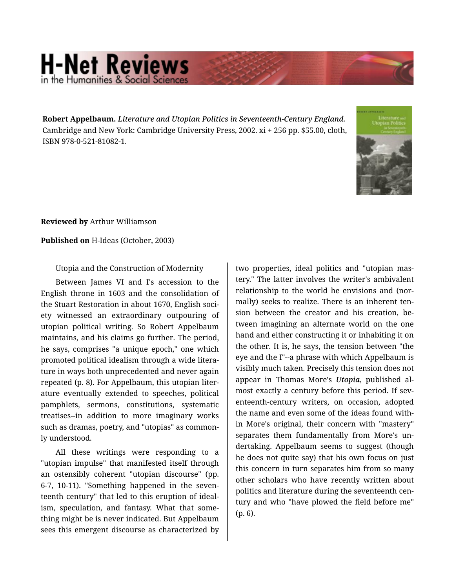## **H-Net Reviews** in the Humanities & Social Sciene

**Robert Appelbaum.** *Literature and Utopian Politics in Seventeenth-Century England.*  Cambridge and New York: Cambridge University Press, 2002. xi + 256 pp. \$55.00, cloth, ISBN 978-0-521-81082-1.



**Reviewed by** Arthur Williamson

**Published on** H-Ideas (October, 2003)

Utopia and the Construction of Modernity

Between James VI and I's accession to the English throne in 1603 and the consolidation of the Stuart Restoration in about 1670, English soci‐ ety witnessed an extraordinary outpouring of utopian political writing. So Robert Appelbaum maintains, and his claims go further. The period, he says, comprises "a unique epoch," one which promoted political idealism through a wide litera‐ ture in ways both unprecedented and never again repeated (p. 8). For Appelbaum, this utopian liter‐ ature eventually extended to speeches, political pamphlets, sermons, constitutions, systematic treatises--in addition to more imaginary works such as dramas, poetry, and "utopias" as common‐ ly understood.

All these writings were responding to a "utopian impulse" that manifested itself through an ostensibly coherent "utopian discourse" (pp. 6-7, 10-11). "Something happened in the seven‐ teenth century" that led to this eruption of ideal‐ ism, speculation, and fantasy. What that some‐ thing might be is never indicated. But Appelbaum sees this emergent discourse as characterized by

two properties, ideal politics and "utopian mas‐ tery." The latter involves the writer's ambivalent relationship to the world he envisions and (nor‐ mally) seeks to realize. There is an inherent ten‐ sion between the creator and his creation, be‐ tween imagining an alternate world on the one hand and either constructing it or inhabiting it on the other. It is, he says, the tension between "the eye and the I"--a phrase with which Appelbaum is visibly much taken. Precisely this tension does not appear in Thomas More's *Utopia*, published al‐ most exactly a century before this period. If seventeenth-century writers, on occasion, adopted the name and even some of the ideas found with‐ in More's original, their concern with "mastery" separates them fundamentally from More's un‐ dertaking. Appelbaum seems to suggest (though he does not quite say) that his own focus on just this concern in turn separates him from so many other scholars who have recently written about politics and literature during the seventeenth cen‐ tury and who "have plowed the field before me" (p. 6).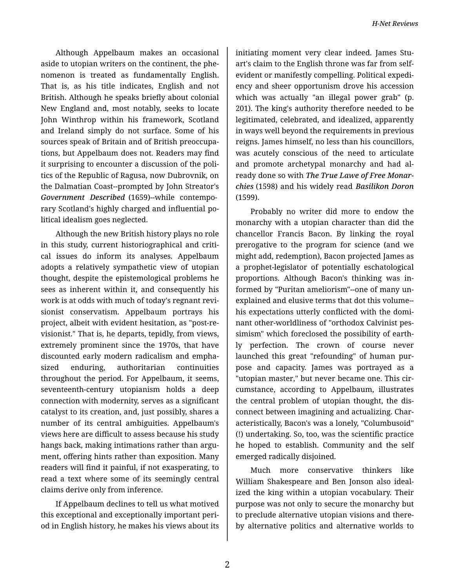Although Appelbaum makes an occasional aside to utopian writers on the continent, the phe‐ nomenon is treated as fundamentally English. That is, as his title indicates, English and not British. Although he speaks briefly about colonial New England and, most notably, seeks to locate John Winthrop within his framework, Scotland and Ireland simply do not surface. Some of his sources speak of Britain and of British preoccupa‐ tions, but Appelbaum does not. Readers may find it surprising to encounter a discussion of the poli‐ tics of the Republic of Ragusa, now Dubrovnik, on the Dalmatian Coast--prompted by John Streator's *Government Described* (1659)--while contempo‐ rary Scotland's highly charged and influential po‐ litical idealism goes neglected.

Although the new British history plays no role in this study, current historiographical and critical issues do inform its analyses. Appelbaum adopts a relatively sympathetic view of utopian thought, despite the epistemological problems he sees as inherent within it, and consequently his work is at odds with much of today's regnant revi‐ sionist conservatism. Appelbaum portrays his project, albeit with evident hesitation, as "post-re‐ visionist." That is, he departs, tepidly, from views, extremely prominent since the 1970s, that have discounted early modern radicalism and empha‐ sized enduring, authoritarian continuities throughout the period. For Appelbaum, it seems, seventeenth-century utopianism holds a deep connection with modernity, serves as a significant catalyst to its creation, and, just possibly, shares a number of its central ambiguities. Appelbaum's views here are difficult to assess because his study hangs back, making intimations rather than argument, offering hints rather than exposition. Many readers will find it painful, if not exasperating, to read a text where some of its seemingly central claims derive only from inference.

If Appelbaum declines to tell us what motived this exceptional and exceptionally important peri‐ od in English history, he makes his views about its

initiating moment very clear indeed. James Stu‐ art's claim to the English throne was far from selfevident or manifestly compelling. Political expedi‐ ency and sheer opportunism drove his accession which was actually "an illegal power grab" (p. 201). The king's authority therefore needed to be legitimated, celebrated, and idealized, apparently in ways well beyond the requirements in previous reigns. James himself, no less than his councillors, was acutely conscious of the need to articulate and promote archetypal monarchy and had al‐ ready done so with *The True Lawe of Free Monar‐ chies* (1598) and his widely read *Basilikon Doron* (1599).

Probably no writer did more to endow the monarchy with a utopian character than did the chancellor Francis Bacon. By linking the royal prerogative to the program for science (and we might add, redemption), Bacon projected James as a prophet-legislator of potentially eschatological proportions. Although Bacon's thinking was in‐ formed by "Puritan ameliorism"--one of many un‐ explained and elusive terms that dot this volume- his expectations utterly conflicted with the domi‐ nant other-worldliness of "orthodox Calvinist pes‐ simism" which foreclosed the possibility of earth‐ ly perfection. The crown of course never launched this great "refounding" of human pur‐ pose and capacity. James was portrayed as a "utopian master," but never became one. This cir‐ cumstance, according to Appelbaum, illustrates the central problem of utopian thought, the dis‐ connect between imagining and actualizing. Char‐ acteristically, Bacon's was a lonely, "Columbusoid" (!) undertaking. So, too, was the scientific practice he hoped to establish. Community and the self emerged radically disjoined.

Much more conservative thinkers like William Shakespeare and Ben Jonson also ideal‐ ized the king within a utopian vocabulary. Their purpose was not only to secure the monarchy but to preclude alternative utopian visions and there‐ by alternative politics and alternative worlds to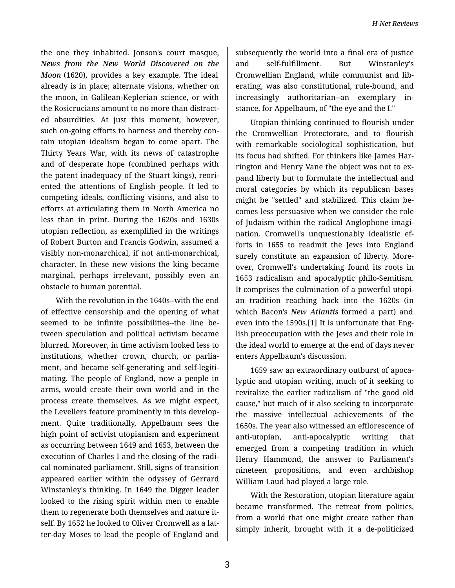the one they inhabited. Jonson's court masque, *News from the New World Discovered on the Moon* (1620), provides a key example. The ideal already is in place; alternate visions, whether on the moon, in Galilean-Keplerian science, or with the Rosicrucians amount to no more than distract‐ ed absurdities. At just this moment, however, such on-going efforts to harness and thereby contain utopian idealism began to come apart. The Thirty Years War, with its news of catastrophe and of desperate hope (combined perhaps with the patent inadequacy of the Stuart kings), reori‐ ented the attentions of English people. It led to competing ideals, conflicting visions, and also to efforts at articulating them in North America no less than in print. During the 1620s and 1630s utopian reflection, as exemplified in the writings of Robert Burton and Francis Godwin, assumed a visibly non-monarchical, if not anti-monarchical, character. In these new visions the king became marginal, perhaps irrelevant, possibly even an obstacle to human potential.

With the revolution in the 1640s--with the end of effective censorship and the opening of what seemed to be infinite possibilities--the line be‐ tween speculation and political activism became blurred. Moreover, in time activism looked less to institutions, whether crown, church, or parlia‐ ment, and became self-generating and self-legiti‐ mating. The people of England, now a people in arms, would create their own world and in the process create themselves. As we might expect, the Levellers feature prominently in this develop‐ ment. Quite traditionally, Appelbaum sees the high point of activist utopianism and experiment as occurring between 1649 and 1653, between the execution of Charles I and the closing of the radi‐ cal nominated parliament. Still, signs of transition appeared earlier within the odyssey of Gerrard Winstanley's thinking. In 1649 the Digger leader looked to the rising spirit within men to enable them to regenerate both themselves and nature it‐ self. By 1652 he looked to Oliver Cromwell as a latter-day Moses to lead the people of England and subsequently the world into a final era of justice and self-fulfillment. But Winstanley's Cromwellian England, while communist and lib‐ erating, was also constitutional, rule-bound, and increasingly authoritarian--an exemplary in‐ stance, for Appelbaum, of "the eye and the I."

Utopian thinking continued to flourish under the Cromwellian Protectorate, and to flourish with remarkable sociological sophistication, but its focus had shifted. For thinkers like James Har‐ rington and Henry Vane the object was not to ex‐ pand liberty but to formulate the intellectual and moral categories by which its republican bases might be "settled" and stabilized. This claim be‐ comes less persuasive when we consider the role of Judaism within the radical Anglophone imagi‐ nation. Cromwell's unquestionably idealistic ef‐ forts in 1655 to readmit the Jews into England surely constitute an expansion of liberty. More‐ over, Cromwell's undertaking found its roots in 1653 radicalism and apocalyptic philo-Semitism. It comprises the culmination of a powerful utopi‐ an tradition reaching back into the 1620s (in which Bacon's *New Atlantis* formed a part) and even into the 1590s.[1] It is unfortunate that Eng‐ lish preoccupation with the Jews and their role in the ideal world to emerge at the end of days never enters Appelbaum's discussion.

1659 saw an extraordinary outburst of apoca‐ lyptic and utopian writing, much of it seeking to revitalize the earlier radicalism of "the good old cause," but much of it also seeking to incorporate the massive intellectual achievements of the 1650s. The year also witnessed an efflorescence of anti-utopian, anti-apocalyptic writing that emerged from a competing tradition in which Henry Hammond, the answer to Parliament's nineteen propositions, and even archbishop William Laud had played a large role.

With the Restoration, utopian literature again became transformed. The retreat from politics, from a world that one might create rather than simply inherit, brought with it a de-politicized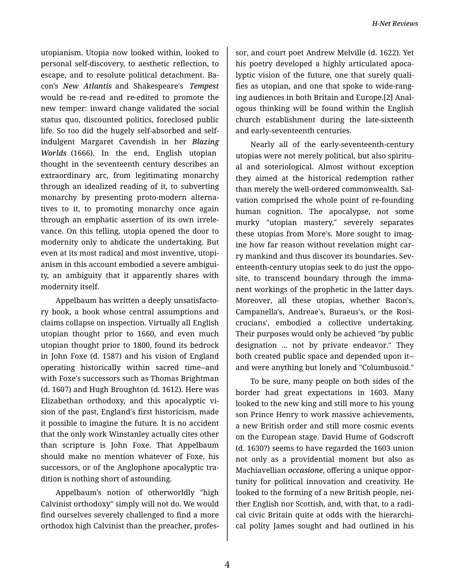utopianism. Utopia now looked within, looked to personal self-discovery, to aesthetic reflection, to escape, and to resolute political detachment. Ba‐ con's *New Atlantis* and Shakespeare's *Tempest* would be re-read and re-edited to promote the new temper: inward change validated the social status quo, discounted politics, foreclosed public life. So too did the hugely self-absorbed and selfindulgent Margaret Cavendish in her *Blazing Worlds* (1666). In the end, English utopian thought in the seventeenth century describes an extraordinary arc, from legitimating monarchy through an idealized reading of it, to subverting monarchy by presenting proto-modern alterna‐ tives to it, to promoting monarchy once again through an emphatic assertion of its own irrele‐ vance. On this telling, utopia opened the door to modernity only to abdicate the undertaking. But even at its most radical and most inventive, utopi‐ anism in this account embodied a severe ambigui‐ ty, an ambiguity that it apparently shares with modernity itself.

Appelbaum has written a deeply unsatisfacto‐ ry book, a book whose central assumptions and claims collapse on inspection. Virtually all English utopian thought prior to 1660, and even much utopian thought prior to 1800, found its bedrock in John Foxe (d. 1587) and his vision of England operating historically within sacred time--and with Foxe's successors such as Thomas Brightman (d. 1607) and Hugh Broughton (d. 1612). Here was Elizabethan orthodoxy, and this apocalyptic vi‐ sion of the past, England's first historicism, made it possible to imagine the future. It is no accident that the only work Winstanley actually cites other than scripture is John Foxe. That Appelbaum should make no mention whatever of Foxe, his successors, or of the Anglophone apocalyptic tra‐ dition is nothing short of astounding.

Appelbaum's notion of otherworldly "high Calvinist orthodoxy" simply will not do. We would find ourselves severely challenged to find a more orthodox high Calvinist than the preacher, profes‐

sor, and court poet Andrew Melville (d. 1622). Yet his poetry developed a highly articulated apoca‐ lyptic vision of the future, one that surely quali‐ fies as utopian, and one that spoke to wide-rang‐ ing audiences in both Britain and Europe.[2] Anal‐ ogous thinking will be found within the English church establishment during the late-sixteenth and early-seventeenth centuries.

Nearly all of the early-seventeenth-century utopias were not merely political, but also spiritu‐ al and soteriological. Almost without exception they aimed at the historical redemption rather than merely the well-ordered commonwealth. Sal‐ vation comprised the whole point of re-founding human cognition. The apocalypse, not some murky "utopian mastery," severely separates these utopias from More's. More sought to imag‐ ine how far reason without revelation might carry mankind and thus discover its boundaries. Sev‐ enteenth-century utopias seek to do just the oppo‐ site, to transcend boundary through the imma‐ nent workings of the prophetic in the latter days. Moreover, all these utopias, whether Bacon's, Campanella's, Andreae's, Buraeus's, or the Rosi‐ crucians', embodied a collective undertaking. Their purposes would only be achieved "by public designation ... not by private endeavor." They both created public space and depended upon it- and were anything but lonely and "Columbusoid."

To be sure, many people on both sides of the border had great expectations in 1603. Many looked to the new king and still more to his young son Prince Henry to work massive achievements, a new British order and still more cosmic events on the European stage. David Hume of Godscroft (d. 1630?) seems to have regarded the 1603 union not only as a providential moment but also as Machiavellian *occasione*, offering a unique oppor‐ tunity for political innovation and creativity. He looked to the forming of a new British people, nei‐ ther English nor Scottish, and, with that, to a radi‐ cal civic Britain quite at odds with the hierarchi‐ cal polity James sought and had outlined in his

4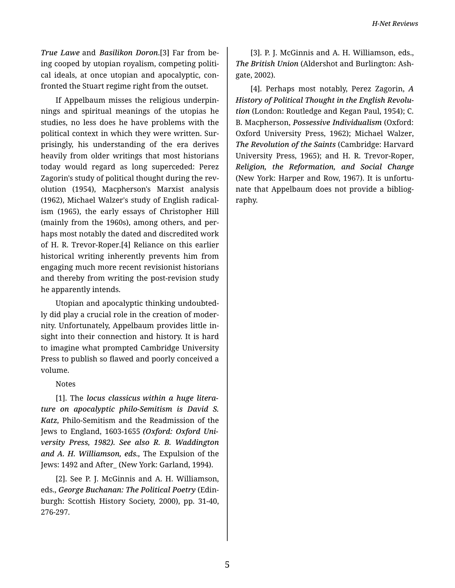*True Lawe* and *Basilikon Doron*.[3] Far from be‐ ing cooped by utopian royalism, competing politi‐ cal ideals, at once utopian and apocalyptic, con‐ fronted the Stuart regime right from the outset.

If Appelbaum misses the religious underpin‐ nings and spiritual meanings of the utopias he studies, no less does he have problems with the political context in which they were written. Sur‐ prisingly, his understanding of the era derives heavily from older writings that most historians today would regard as long superceded: Perez Zagorin's study of political thought during the rev‐ olution (1954), Macpherson's Marxist analysis (1962), Michael Walzer's study of English radical‐ ism (1965), the early essays of Christopher Hill (mainly from the 1960s), among others, and per‐ haps most notably the dated and discredited work of H. R. Trevor-Roper.[4] Reliance on this earlier historical writing inherently prevents him from engaging much more recent revisionist historians and thereby from writing the post-revision study he apparently intends.

Utopian and apocalyptic thinking undoubted‐ ly did play a crucial role in the creation of moder‐ nity. Unfortunately, Appelbaum provides little in‐ sight into their connection and history. It is hard to imagine what prompted Cambridge University Press to publish so flawed and poorly conceived a volume.

## Notes

[1]. The *locus classicus within a huge litera‐ ture on apocalyptic philo-Semitism is David S. Katz,* Philo-Semitism and the Readmission of the Jews to England, 1603-1655 *(Oxford: Oxford Uni‐ versity Press, 1982). See also R. B. Waddington and A. H. Williamson, eds.,* The Expulsion of the Jews: 1492 and After\_ (New York: Garland, 1994).

[2]. See P. J. McGinnis and A. H. Williamson, eds., *George Buchanan: The Political Poetry* (Edin‐ burgh: Scottish History Society, 2000), pp. 31-40, 276-297.

[3]. P. J. McGinnis and A. H. Williamson, eds., *The British Union* (Aldershot and Burlington: Ash‐ gate, 2002).

[4]. Perhaps most notably, Perez Zagorin, *A History of Political Thought in the English Revolu‐ tion* (London: Routledge and Kegan Paul, 1954); C. B. Macpherson, *Possessive Individualism* (Oxford: Oxford University Press, 1962); Michael Walzer, *The Revolution of the Saints* (Cambridge: Harvard University Press, 1965); and H. R. Trevor-Roper, *Religion, the Reformation, and Social Change* (New York: Harper and Row, 1967). It is unfortu‐ nate that Appelbaum does not provide a bibliog‐ raphy.